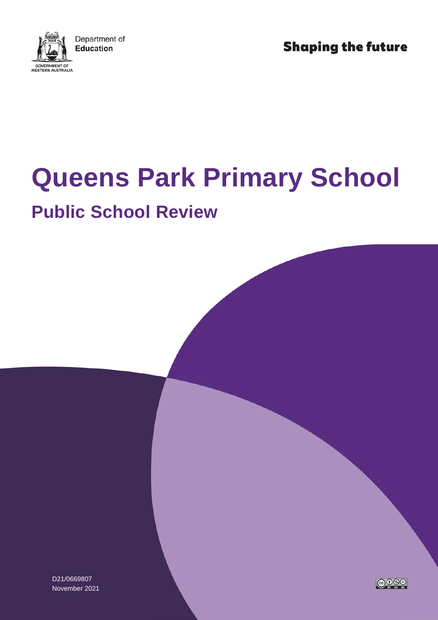

**Shaping the future** 

# **Queens Park Primary School**

## **Public School Review**

D21/0669807 November 2021

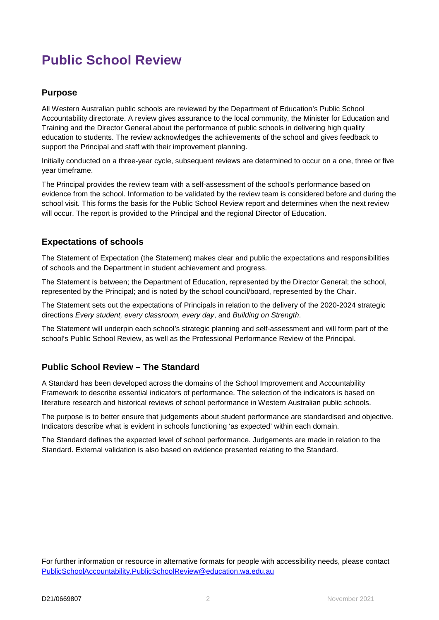### **Public School Review**

#### **Purpose**

All Western Australian public schools are reviewed by the Department of Education's Public School Accountability directorate. A review gives assurance to the local community, the Minister for Education and Training and the Director General about the performance of public schools in delivering high quality education to students. The review acknowledges the achievements of the school and gives feedback to support the Principal and staff with their improvement planning.

Initially conducted on a three-year cycle, subsequent reviews are determined to occur on a one, three or five year timeframe.

The Principal provides the review team with a self-assessment of the school's performance based on evidence from the school. Information to be validated by the review team is considered before and during the school visit. This forms the basis for the Public School Review report and determines when the next review will occur. The report is provided to the Principal and the regional Director of Education.

#### **Expectations of schools**

The Statement of Expectation (the Statement) makes clear and public the expectations and responsibilities of schools and the Department in student achievement and progress.

The Statement is between; the Department of Education, represented by the Director General; the school, represented by the Principal; and is noted by the school council/board, represented by the Chair.

The Statement sets out the expectations of Principals in relation to the delivery of the 2020-2024 strategic directions *Every student, every classroom, every day*, and *Building on Strength*.

The Statement will underpin each school's strategic planning and self-assessment and will form part of the school's Public School Review, as well as the Professional Performance Review of the Principal.

#### **Public School Review – The Standard**

A Standard has been developed across the domains of the School Improvement and Accountability Framework to describe essential indicators of performance. The selection of the indicators is based on literature research and historical reviews of school performance in Western Australian public schools.

The purpose is to better ensure that judgements about student performance are standardised and objective. Indicators describe what is evident in schools functioning 'as expected' within each domain.

The Standard defines the expected level of school performance. Judgements are made in relation to the Standard. External validation is also based on evidence presented relating to the Standard.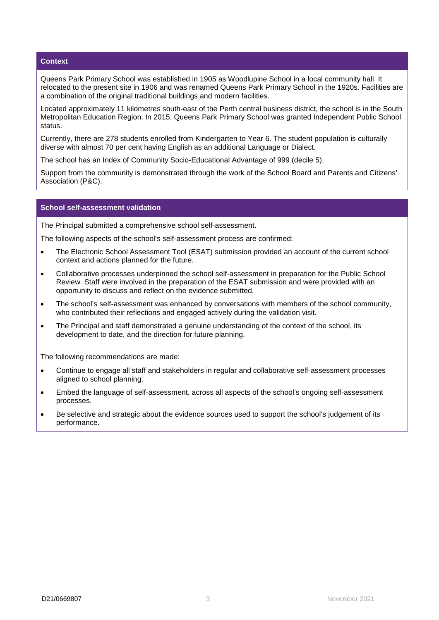#### **Context**

Queens Park Primary School was established in 1905 as Woodlupine School in a local community hall. It relocated to the present site in 1906 and was renamed Queens Park Primary School in the 1920s. Facilities are a combination of the original traditional buildings and modern facilities.

Located approximately 11 kilometres south-east of the Perth central business district, the school is in the South Metropolitan Education Region. In 2015, Queens Park Primary School was granted Independent Public School status.

Currently, there are 278 students enrolled from Kindergarten to Year 6. The student population is culturally diverse with almost 70 per cent having English as an additional Language or Dialect.

The school has an Index of Community Socio-Educational Advantage of 999 (decile 5).

Support from the community is demonstrated through the work of the School Board and Parents and Citizens' Association (P&C).

#### **School self-assessment validation**

The Principal submitted a comprehensive school self-assessment.

The following aspects of the school's self-assessment process are confirmed:

- The Electronic School Assessment Tool (ESAT) submission provided an account of the current school context and actions planned for the future.
- Collaborative processes underpinned the school self-assessment in preparation for the Public School Review. Staff were involved in the preparation of the ESAT submission and were provided with an opportunity to discuss and reflect on the evidence submitted.
- The school's self-assessment was enhanced by conversations with members of the school community, who contributed their reflections and engaged actively during the validation visit.
- The Principal and staff demonstrated a genuine understanding of the context of the school, its development to date, and the direction for future planning.

The following recommendations are made:

- Continue to engage all staff and stakeholders in regular and collaborative self-assessment processes aligned to school planning.
- Embed the language of self-assessment, across all aspects of the school's ongoing self-assessment processes.
- Be selective and strategic about the evidence sources used to support the school's judgement of its performance.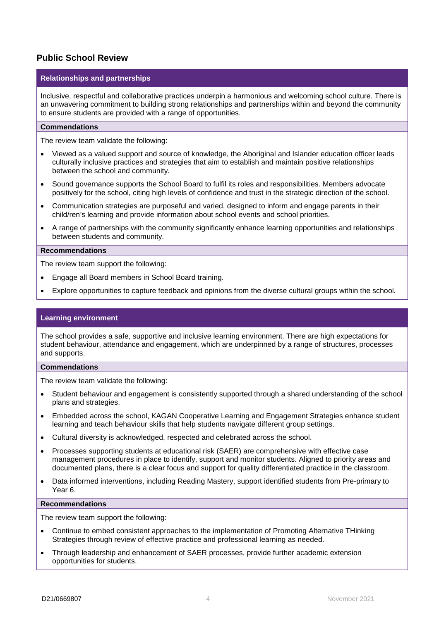#### **Public School Review**

#### **Relationships and partnerships**

Inclusive, respectful and collaborative practices underpin a harmonious and welcoming school culture. There is an unwavering commitment to building strong relationships and partnerships within and beyond the community to ensure students are provided with a range of opportunities.

#### **Commendations**

The review team validate the following:

- Viewed as a valued support and source of knowledge, the Aboriginal and Islander education officer leads culturally inclusive practices and strategies that aim to establish and maintain positive relationships between the school and community.
- Sound governance supports the School Board to fulfil its roles and responsibilities. Members advocate positively for the school, citing high levels of confidence and trust in the strategic direction of the school.
- Communication strategies are purposeful and varied, designed to inform and engage parents in their child/ren's learning and provide information about school events and school priorities.
- A range of partnerships with the community significantly enhance learning opportunities and relationships between students and community.

#### **Recommendations**

The review team support the following:

- Engage all Board members in School Board training.
- Explore opportunities to capture feedback and opinions from the diverse cultural groups within the school.

#### **Learning environment**

The school provides a safe, supportive and inclusive learning environment. There are high expectations for student behaviour, attendance and engagement, which are underpinned by a range of structures, processes and supports.

#### **Commendations**

The review team validate the following:

- Student behaviour and engagement is consistently supported through a shared understanding of the school plans and strategies.
- Embedded across the school, KAGAN Cooperative Learning and Engagement Strategies enhance student learning and teach behaviour skills that help students navigate different group settings.
- Cultural diversity is acknowledged, respected and celebrated across the school.
- Processes supporting students at educational risk (SAER) are comprehensive with effective case management procedures in place to identify, support and monitor students. Aligned to priority areas and documented plans, there is a clear focus and support for quality differentiated practice in the classroom.
- Data informed interventions, including Reading Mastery, support identified students from Pre-primary to Year 6.

#### **Recommendations**

The review team support the following:

- Continue to embed consistent approaches to the implementation of Promoting Alternative THinking Strategies through review of effective practice and professional learning as needed.
- Through leadership and enhancement of SAER processes, provide further academic extension opportunities for students.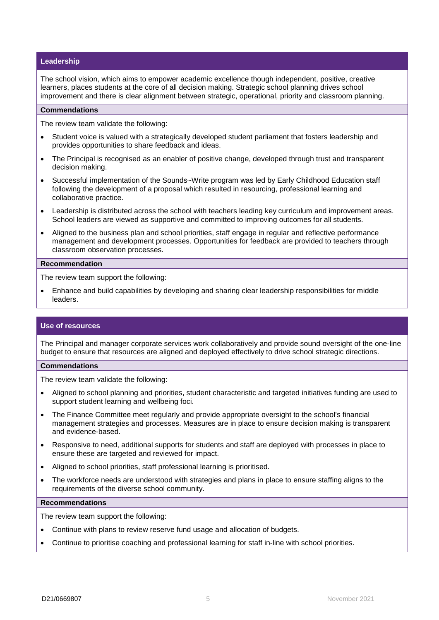#### **Leadership**

The school vision, which aims to empower academic excellence though independent, positive, creative learners, places students at the core of all decision making. Strategic school planning drives school improvement and there is clear alignment between strategic, operational, priority and classroom planning.

#### **Commendations**

The review team validate the following:

- Student voice is valued with a strategically developed student parliament that fosters leadership and provides opportunities to share feedback and ideas.
- The Principal is recognised as an enabler of positive change, developed through trust and transparent decision making.
- Successful implementation of the Sounds~Write program was led by Early Childhood Education staff following the development of a proposal which resulted in resourcing, professional learning and collaborative practice.
- Leadership is distributed across the school with teachers leading key curriculum and improvement areas. School leaders are viewed as supportive and committed to improving outcomes for all students.
- Aligned to the business plan and school priorities, staff engage in regular and reflective performance management and development processes. Opportunities for feedback are provided to teachers through classroom observation processes.

#### **Recommendation**

The review team support the following:

• Enhance and build capabilities by developing and sharing clear leadership responsibilities for middle leaders.

#### **Use of resources**

The Principal and manager corporate services work collaboratively and provide sound oversight of the one-line budget to ensure that resources are aligned and deployed effectively to drive school strategic directions.

#### **Commendations**

The review team validate the following:

- Aligned to school planning and priorities, student characteristic and targeted initiatives funding are used to support student learning and wellbeing foci.
- The Finance Committee meet regularly and provide appropriate oversight to the school's financial management strategies and processes. Measures are in place to ensure decision making is transparent and evidence-based.
- Responsive to need, additional supports for students and staff are deployed with processes in place to ensure these are targeted and reviewed for impact.
- Aligned to school priorities, staff professional learning is prioritised.
- The workforce needs are understood with strategies and plans in place to ensure staffing aligns to the requirements of the diverse school community.

#### **Recommendations**

The review team support the following:

- Continue with plans to review reserve fund usage and allocation of budgets.
- Continue to prioritise coaching and professional learning for staff in-line with school priorities.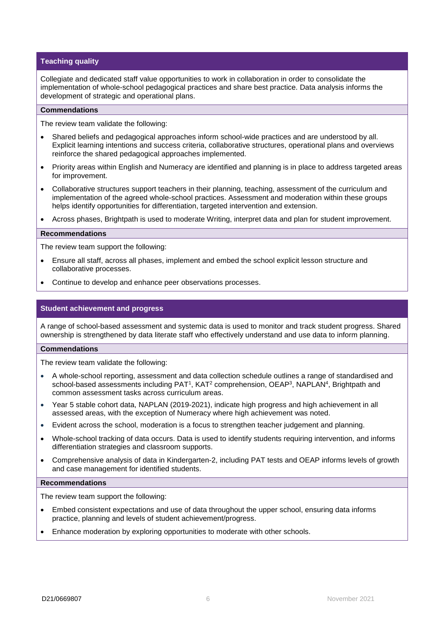#### **Teaching quality**

Collegiate and dedicated staff value opportunities to work in collaboration in order to consolidate the implementation of whole-school pedagogical practices and share best practice. Data analysis informs the development of strategic and operational plans.

#### **Commendations**

The review team validate the following:

- Shared beliefs and pedagogical approaches inform school-wide practices and are understood by all. Explicit learning intentions and success criteria, collaborative structures, operational plans and overviews reinforce the shared pedagogical approaches implemented.
- Priority areas within English and Numeracy are identified and planning is in place to address targeted areas for improvement.
- Collaborative structures support teachers in their planning, teaching, assessment of the curriculum and implementation of the agreed whole-school practices. Assessment and moderation within these groups helps identify opportunities for differentiation, targeted intervention and extension.
- Across phases, Brightpath is used to moderate Writing, interpret data and plan for student improvement.

#### **Recommendations**

The review team support the following:

- Ensure all staff, across all phases, implement and embed the school explicit lesson structure and collaborative processes.
- Continue to develop and enhance peer observations processes.

#### **Student achievement and progress**

A range of school-based assessment and systemic data is used to monitor and track student progress. Shared ownership is strengthened by data literate staff who effectively understand and use data to inform planning.

#### **Commendations**

The review team validate the following:

- A whole-school reporting, assessment and data collection schedule outlines a range of standardised and school-based assessments including PAT<sup>1</sup>, KAT<sup>2</sup> comprehension, OEAP<sup>3</sup>, NAPLAN<sup>4</sup>, Brightpath and common assessment tasks across curriculum areas.
- Year 5 stable cohort data, NAPLAN (2019-2021), indicate high progress and high achievement in all assessed areas, with the exception of Numeracy where high achievement was noted.
- Evident across the school, moderation is a focus to strengthen teacher judgement and planning.
- Whole-school tracking of data occurs. Data is used to identify students requiring intervention, and informs differentiation strategies and classroom supports.
- Comprehensive analysis of data in Kindergarten-2, including PAT tests and OEAP informs levels of growth and case management for identified students.

#### **Recommendations**

The review team support the following:

- Embed consistent expectations and use of data throughout the upper school, ensuring data informs practice, planning and levels of student achievement/progress.
- Enhance moderation by exploring opportunities to moderate with other schools.